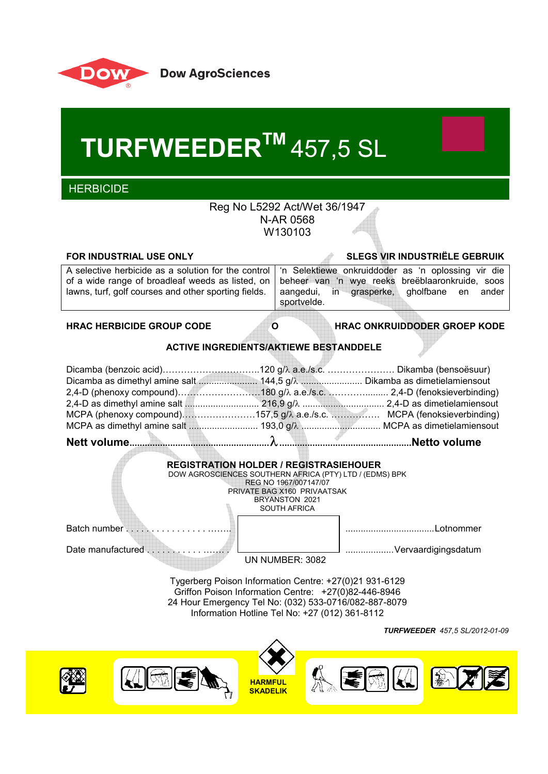

 **TURFWEEDERTM** 457,5 SL

**HERBICIDE** 

# Reg No L5292 Act/Wet 36/1947 N-AR 0568 W130103

**FOR INDUSTRIAL USE ONLY SLEGS VIR INDUSTRIËLE GEBRUIK**

|                                                      | A selective herbicide as a solution for the control   'n Selektiewe onkruiddoder as 'n oplossing vir die |
|------------------------------------------------------|----------------------------------------------------------------------------------------------------------|
|                                                      | of a wide range of broadleaf weeds as listed, on beheer van 'n wye reeks breëblaaronkruide, soos         |
| lawns, turf, golf courses and other sporting fields. | aangedui, in grasperke, gholfbane en<br>ander                                                            |
|                                                      | sportvelde.                                                                                              |
|                                                      |                                                                                                          |

**HRAC HERBICIDE GROUP CODE O HRAC ONKRUIDDODER GROEP KODE**

#### **ACTIVE INGREDIENTS/AKTIEWE BESTANDDELE**

| MCPA (phenoxy compound)157,5 g/ $\lambda$ a.e./s.c.  MCPA (fenoksieverbinding) |  |
|--------------------------------------------------------------------------------|--|
|                                                                                |  |
|                                                                                |  |



*TURFWEEDER 457,5 SL/2012-01-09*

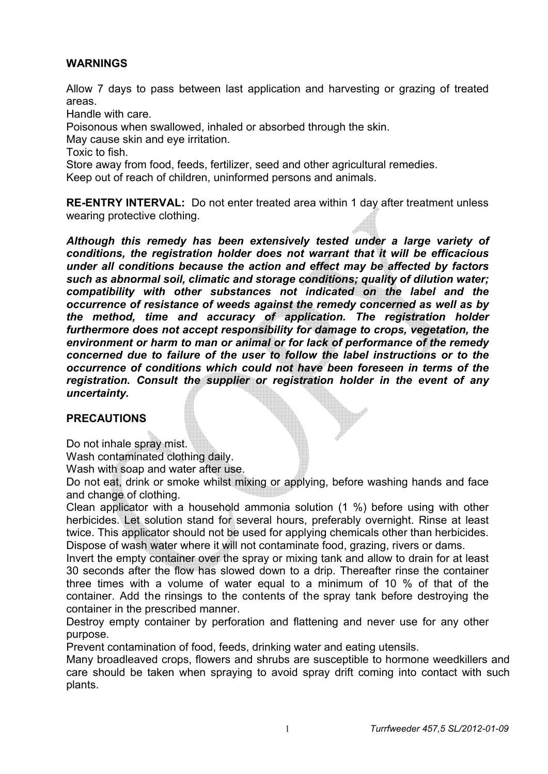# **WARNINGS**

Allow 7 days to pass between last application and harvesting or grazing of treated areas.

Handle with care.

Poisonous when swallowed, inhaled or absorbed through the skin.

May cause skin and eye irritation.

Toxic to fish.

Store away from food, feeds, fertilizer, seed and other agricultural remedies.

Keep out of reach of children, uninformed persons and animals.

**RE-ENTRY INTERVAL:** Do not enter treated area within 1 day after treatment unless wearing protective clothing.

*Although this remedy has been extensively tested under a large variety of conditions, the registration holder does not warrant that it will be efficacious under all conditions because the action and effect may be affected by factors such as abnormal soil, climatic and storage conditions; quality of dilution water; compatibility with other substances not indicated on the label and the occurrence of resistance of weeds against the remedy concerned as well as by the method, time and accuracy of application. The registration holder furthermore does not accept responsibility for damage to crops, vegetation, the environment or harm to man or animal or for lack of performance of the remedy concerned due to failure of the user to follow the label instructions or to the occurrence of conditions which could not have been foreseen in terms of the registration. Consult the supplier or registration holder in the event of any uncertainty.* 

#### **PRECAUTIONS**

Do not inhale spray mist.

Wash contaminated clothing daily.

Wash with soap and water after use.

Do not eat, drink or smoke whilst mixing or applying, before washing hands and face and change of clothing.

Clean applicator with a household ammonia solution (1 %) before using with other herbicides. Let solution stand for several hours, preferably overnight. Rinse at least twice. This applicator should not be used for applying chemicals other than herbicides. Dispose of wash water where it will not contaminate food, grazing, rivers or dams.

Invert the empty container over the spray or mixing tank and allow to drain for at least 30 seconds after the flow has slowed down to a drip. Thereafter rinse the container three times with a volume of water equal to a minimum of 10 % of that of the container. Add the rinsings to the contents of the spray tank before destroying the container in the prescribed manner.

Destroy empty container by perforation and flattening and never use for any other purpose.

Prevent contamination of food, feeds, drinking water and eating utensils.

Many broadleaved crops, flowers and shrubs are susceptible to hormone weedkillers and care should be taken when spraying to avoid spray drift coming into contact with such plants.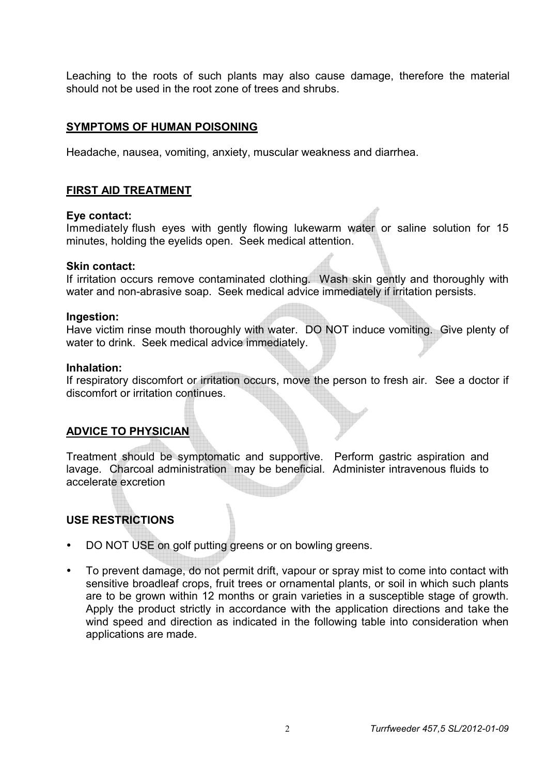Leaching to the roots of such plants may also cause damage, therefore the material should not be used in the root zone of trees and shrubs.

# **SYMPTOMS OF HUMAN POISONING**

Headache, nausea, vomiting, anxiety, muscular weakness and diarrhea.

#### **FIRST AID TREATMENT**

#### **Eye contact:**

Immediately flush eyes with gently flowing lukewarm water or saline solution for 15 minutes, holding the eyelids open. Seek medical attention.

#### **Skin contact:**

If irritation occurs remove contaminated clothing. Wash skin gently and thoroughly with water and non-abrasive soap. Seek medical advice immediately if irritation persists.

#### **Ingestion:**

Have victim rinse mouth thoroughly with water. DO NOT induce vomiting. Give plenty of water to drink. Seek medical advice immediately.

#### **Inhalation:**

If respiratory discomfort or irritation occurs, move the person to fresh air. See a doctor if discomfort or irritation continues.

# **ADVICE TO PHYSICIAN**

Treatment should be symptomatic and supportive. Perform gastric aspiration and lavage. Charcoal administration may be beneficial. Administer intravenous fluids to accelerate excretion

# **USE RESTRICTIONS**

- DO NOT USE on golf putting greens or on bowling greens.
- To prevent damage, do not permit drift, vapour or spray mist to come into contact with sensitive broadleaf crops, fruit trees or ornamental plants, or soil in which such plants are to be grown within 12 months or grain varieties in a susceptible stage of growth. Apply the product strictly in accordance with the application directions and take the wind speed and direction as indicated in the following table into consideration when applications are made.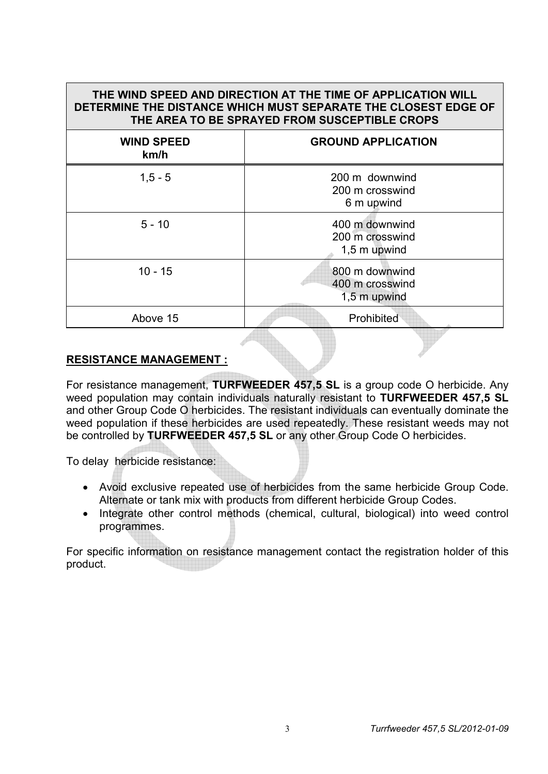| THE WIND SPEED AND DIRECTION AT THE TIME OF APPLICATION WILL<br>DETERMINE THE DISTANCE WHICH MUST SEPARATE THE CLOSEST EDGE OF<br>THE AREA TO BE SPRAYED FROM SUSCEPTIBLE CROPS |                                                   |  |
|---------------------------------------------------------------------------------------------------------------------------------------------------------------------------------|---------------------------------------------------|--|
| <b>WIND SPEED</b><br>km/h                                                                                                                                                       | <b>GROUND APPLICATION</b>                         |  |
| $1, 5 - 5$                                                                                                                                                                      | 200 m downwind<br>200 m crosswind<br>6 m upwind   |  |
| $5 - 10$                                                                                                                                                                        | 400 m downwind<br>200 m crosswind<br>1,5 m upwind |  |
| $10 - 15$                                                                                                                                                                       | 800 m downwind<br>400 m crosswind<br>1,5 m upwind |  |
| Above 15                                                                                                                                                                        | Prohibited                                        |  |

# **RESISTANCE MANAGEMENT :**

For resistance management, **TURFWEEDER 457,5 SL** is a group code O herbicide. Any weed population may contain individuals naturally resistant to **TURFWEEDER 457,5 SL** and other Group Code O herbicides. The resistant individuals can eventually dominate the weed population if these herbicides are used repeatedly. These resistant weeds may not be controlled by **TURFWEEDER 457,5 SL** or any other Group Code O herbicides.

To delay herbicide resistance:

- Avoid exclusive repeated use of herbicides from the same herbicide Group Code. Alternate or tank mix with products from different herbicide Group Codes.
- Integrate other control methods (chemical, cultural, biological) into weed control programmes.

For specific information on resistance management contact the registration holder of this product.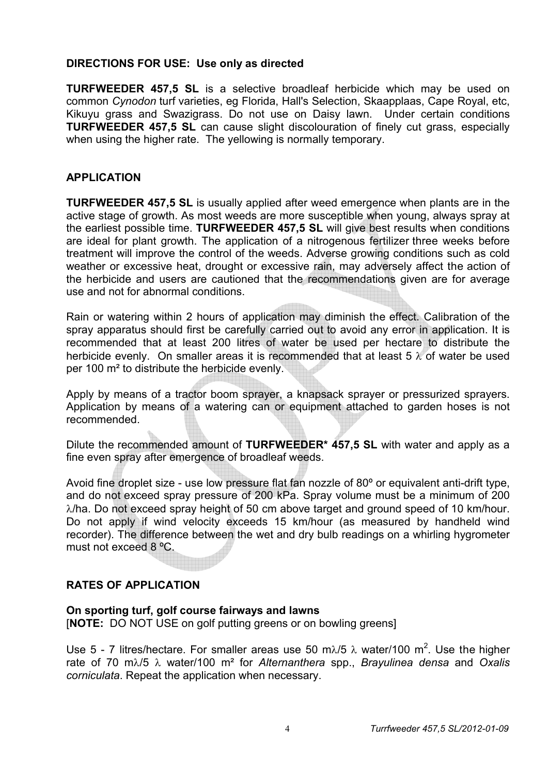# **DIRECTIONS FOR USE: Use only as directed**

**TURFWEEDER 457,5 SL** is a selective broadleaf herbicide which may be used on common *Cynodon* turf varieties, eg Florida, Hall's Selection, Skaapplaas, Cape Royal, etc, Kikuyu grass and Swazigrass. Do not use on Daisy lawn. Under certain conditions **TURFWEEDER 457.5 SL** can cause slight discolouration of finely cut grass, especially when using the higher rate. The yellowing is normally temporary.

# **APPLICATION**

**TURFWEEDER 457,5 SL** is usually applied after weed emergence when plants are in the active stage of growth. As most weeds are more susceptible when young, always spray at the earliest possible time. **TURFWEEDER 457,5 SL** will give best results when conditions are ideal for plant growth. The application of a nitrogenous fertilizer three weeks before treatment will improve the control of the weeds. Adverse growing conditions such as cold weather or excessive heat, drought or excessive rain, may adversely affect the action of the herbicide and users are cautioned that the recommendations given are for average use and not for abnormal conditions.

Rain or watering within 2 hours of application may diminish the effect. Calibration of the spray apparatus should first be carefully carried out to avoid any error in application. It is recommended that at least 200 litres of water be used per hectare to distribute the herbicide evenly. On smaller areas it is recommended that at least 5  $\lambda$  of water be used per 100 m² to distribute the herbicide evenly.

Apply by means of a tractor boom sprayer, a knapsack sprayer or pressurized sprayers. Application by means of a watering can or equipment attached to garden hoses is not recommended.

Dilute the recommended amount of **TURFWEEDER\* 457,5 SL** with water and apply as a fine even spray after emergence of broadleaf weeds.

Avoid fine droplet size - use low pressure flat fan nozzle of 80º or equivalent anti-drift type, and do not exceed spray pressure of 200 kPa. Spray volume must be a minimum of 200  $\lambda$ /ha. Do not exceed spray height of 50 cm above target and ground speed of 10 km/hour. Do not apply if wind velocity exceeds 15 km/hour (as measured by handheld wind recorder). The difference between the wet and dry bulb readings on a whirling hygrometer must not exceed 8 ºC.

# **RATES OF APPLICATION**

# **On sporting turf, golf course fairways and lawns**

[**NOTE:** DO NOT USE on golf putting greens or on bowling greens]

Use 5 - 7 litres/hectare. For smaller areas use 50 m $\lambda$ /5  $\lambda$  water/100 m<sup>2</sup>. Use the higher rate of 70 m/5 water/100 m² for *Alternanthera* spp., *Brayulinea densa* and *Oxalis corniculata*. Repeat the application when necessary.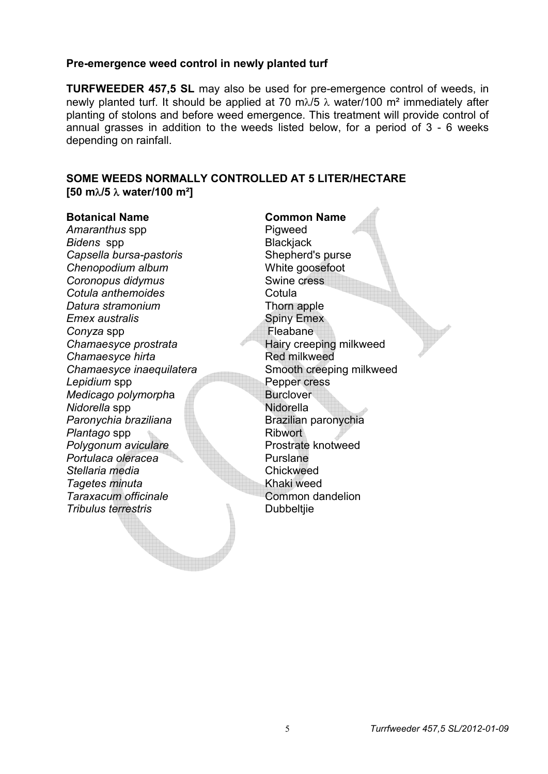#### **Pre-emergence weed control in newly planted turf**

**TURFWEEDER 457,5 SL** may also be used for pre-emergence control of weeds, in newly planted turf. It should be applied at 70 m $\lambda$ /5  $\lambda$  water/100 m<sup>2</sup> immediately after planting of stolons and before weed emergence. This treatment will provide control of annual grasses in addition to the weeds listed below, for a period of 3 - 6 weeks depending on rainfall.

# **SOME WEEDS NORMALLY CONTROLLED AT 5 LITER/HECTARE [50 m/5 water/100 m²]**

#### **Botanical Name Common Name**

Amaranthus spp **Pigweed Bidens spp Blackjack** Blackjack **Capsella bursa-pastoris** Shepherd's purse<br>
Chenopodium album *Chenopodium album* **Coronopus didymus** Swine cress **Cotula anthemoides** Cotula *Datura stramonium* Thorn apple *Emex australis* **Emex** Spiny Emex **Conyza spp** Fleabane **Chamaesyce prostrata** Hairy creeping milkweed **Chamaesyce hirta** Red milkweed **Chamaesyce inaequilatera** Smooth creeping milkweed **Lepidium spp Pepper cress** *Medicago polymorpha* Burclover *Nidorella* spp Nidorella **Paronychia braziliana** Brazilian paronychia **Plantago spp Ribwort Polygonum aviculare Prostrate knotweed** Portulaca oleracea **Purslane** *Stellaria media* Chickweed *Tagetes minuta* Khaki weed **Taraxacum officinale Common dandelion Tribulus terrestris Contract Contract Contract Properties Dubbeltiie**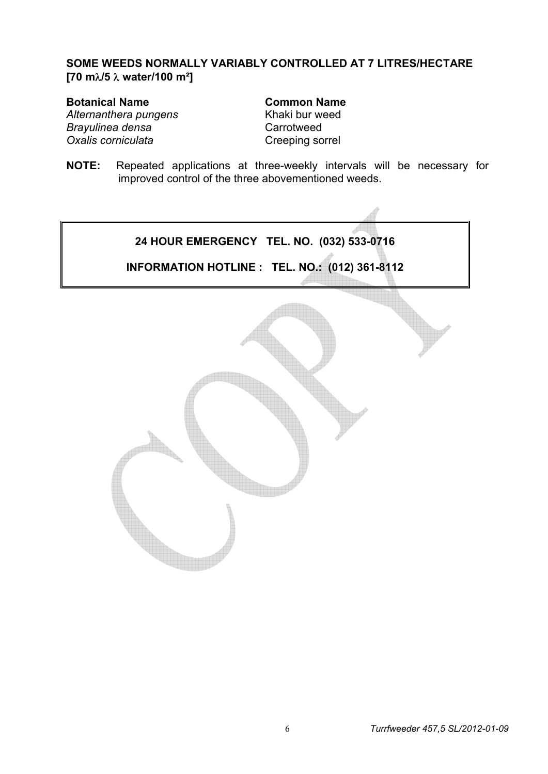# **SOME WEEDS NORMALLY VARIABLY CONTROLLED AT 7 LITRES/HECTARE [70 m/5 water/100 m²]**

**Botanical Name Common Name** Alternanthera pungens<br>
Khaki bur weed *Brayulinea densa* Carrotweed **Oxalis corniculata** Creeping sorrel

**NOTE:** Repeated applications at three-weekly intervals will be necessary for improved control of the three abovementioned weeds.

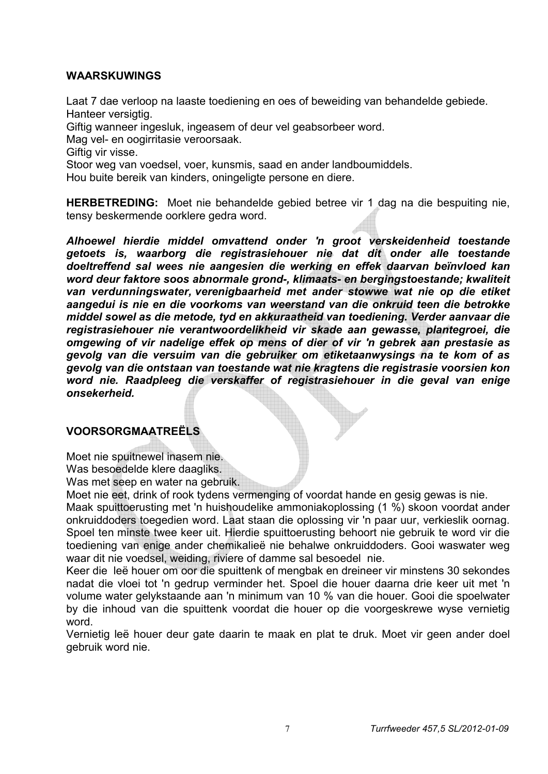# **WAARSKUWINGS**

Laat 7 dae verloop na laaste toediening en oes of beweiding van behandelde gebiede. Hanteer versigtig.

Giftig wanneer ingesluk, ingeasem of deur vel geabsorbeer word.

Mag vel- en oogirritasie veroorsaak.

Giftig vir visse.

Stoor weg van voedsel, voer, kunsmis, saad en ander landboumiddels.

Hou buite bereik van kinders, oningeligte persone en diere.

**HERBETREDING:** Moet nie behandelde gebied betree vir 1 dag na die bespuiting nie, tensy beskermende oorklere gedra word.

*Alhoewel hierdie middel omvattend onder 'n groot verskeidenheid toestande getoets is, waarborg die registrasiehouer nie dat dit onder alle toestande doeltreffend sal wees nie aangesien die werking en effek daarvan beïnvloed kan word deur faktore soos abnormale grond-, klimaats- en bergingstoestande; kwaliteit van verdunningswater, verenigbaarheid met ander stowwe wat nie op die etiket aangedui is nie en die voorkoms van weerstand van die onkruid teen die betrokke middel sowel as die metode, tyd en akkuraatheid van toediening. Verder aanvaar die registrasiehouer nie verantwoordelikheid vir skade aan gewasse, plantegroei, die omgewing of vir nadelige effek op mens of dier of vir 'n gebrek aan prestasie as gevolg van die versuim van die gebruiker om etiketaanwysings na te kom of as gevolg van die ontstaan van toestande wat nie kragtens die registrasie voorsien kon word nie. Raadpleeg die verskaffer of registrasiehouer in die geval van enige onsekerheid.*

# **VOORSORGMAATREËLS**

Moet nie spuitnewel inasem nie. Was besoedelde klere daagliks.

Was met seep en water na gebruik.

Moet nie eet, drink of rook tydens vermenging of voordat hande en gesig gewas is nie.

Maak spuittoerusting met 'n huishoudelike ammoniakoplossing (1 %) skoon voordat ander onkruiddoders toegedien word. Laat staan die oplossing vir 'n paar uur, verkieslik oornag. Spoel ten minste twee keer uit. Hierdie spuittoerusting behoort nie gebruik te word vir die toediening van enige ander chemikalieë nie behalwe onkruiddoders. Gooi waswater weg waar dit nie voedsel, weiding, riviere of damme sal besoedel nie.

Keer die leë houer om oor die spuittenk of mengbak en dreineer vir minstens 30 sekondes nadat die vloei tot 'n gedrup verminder het. Spoel die houer daarna drie keer uit met 'n volume water gelykstaande aan 'n minimum van 10 % van die houer. Gooi die spoelwater by die inhoud van die spuittenk voordat die houer op die voorgeskrewe wyse vernietig word.

Vernietig leë houer deur gate daarin te maak en plat te druk. Moet vir geen ander doel gebruik word nie.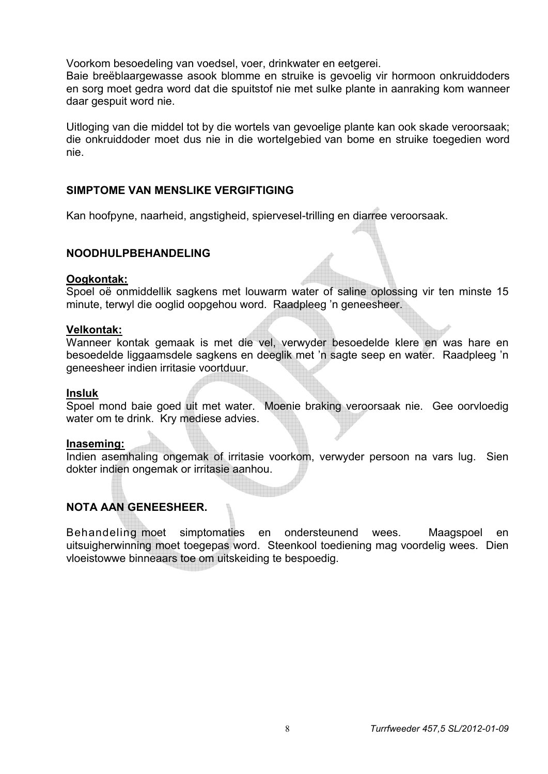Voorkom besoedeling van voedsel, voer, drinkwater en eetgerei.

Baie breëblaargewasse asook blomme en struike is gevoelig vir hormoon onkruiddoders en sorg moet gedra word dat die spuitstof nie met sulke plante in aanraking kom wanneer daar gespuit word nie.

Uitloging van die middel tot by die wortels van gevoelige plante kan ook skade veroorsaak; die onkruiddoder moet dus nie in die wortelgebied van bome en struike toegedien word nie.

# **SIMPTOME VAN MENSLIKE VERGIFTIGING**

Kan hoofpyne, naarheid, angstigheid, spiervesel-trilling en diarree veroorsaak.

# **NOODHULPBEHANDELING**

#### **Oogkontak:**

Spoel oë onmiddellik sagkens met louwarm water of saline oplossing vir ten minste 15 minute, terwyl die ooglid oopgehou word. Raadpleeg 'n geneesheer.

#### **Velkontak:**

Wanneer kontak gemaak is met die vel, verwyder besoedelde klere en was hare en besoedelde liggaamsdele sagkens en deeglik met 'n sagte seep en water. Raadpleeg 'n geneesheer indien irritasie voortduur.

#### **Insluk**

Spoel mond baie goed uit met water. Moenie braking veroorsaak nie. Gee oorvloedig water om te drink. Kry mediese advies.

#### **Inaseming:**

Indien asemhaling ongemak of irritasie voorkom, verwyder persoon na vars lug. Sien dokter indien ongemak or irritasie aanhou.

# **NOTA AAN GENEESHEER.**

Behandeling moet simptomaties en ondersteunend wees. Maagspoel en uitsuigherwinning moet toegepas word. Steenkool toediening mag voordelig wees. Dien vloeistowwe binneaars toe om uitskeiding te bespoedig.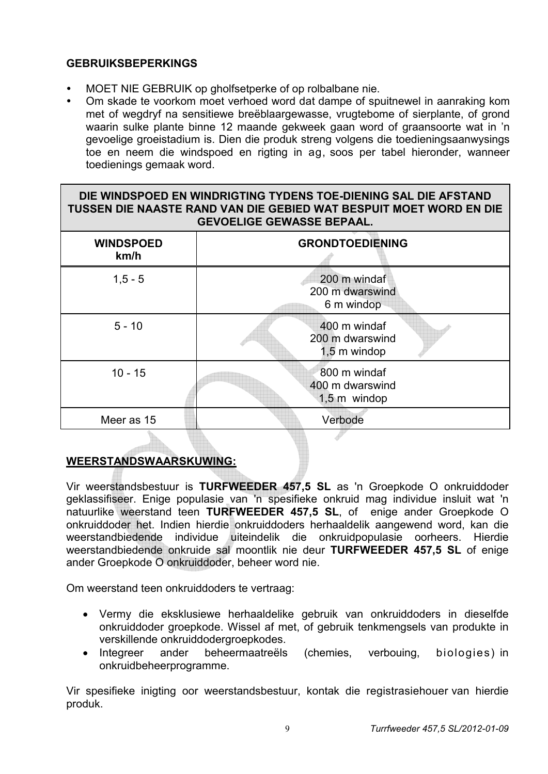# **GEBRUIKSBEPERKINGS**

- MOET NIE GEBRUIK op gholfsetperke of op rolbalbane nie.
- Om skade te voorkom moet verhoed word dat dampe of spuitnewel in aanraking kom met of wegdryf na sensitiewe breëblaargewasse, vrugtebome of sierplante, of grond waarin sulke plante binne 12 maande gekweek gaan word of graansoorte wat in 'n gevoelige groeistadium is. Dien die produk streng volgens die toedieningsaanwysings toe en neem die windspoed en rigting in ag, soos per tabel hieronder, wanneer toedienings gemaak word.

# **DIE WINDSPOED EN WINDRIGTING TYDENS TOE-DIENING SAL DIE AFSTAND TUSSEN DIE NAASTE RAND VAN DIE GEBIED WAT BESPUIT MOET WORD EN DIE GEVOELIGE GEWASSE BEPAAL.**

| <b>WINDSPOED</b><br>km/h | <b>GRONDTOEDIENING</b>                            |
|--------------------------|---------------------------------------------------|
| $1, 5 - 5$               | 200 m windaf<br>200 m dwarswind<br>6 m windop     |
| $5 - 10$                 | 400 m windaf<br>200 m dwarswind<br>1,5 m windop   |
| $10 - 15$                | 800 m windaf<br>400 m dwarswind<br>$1,5$ m windop |
| Meer as 15               | Verbode                                           |

# **WEERSTANDSWAARSKUWING:**

Vir weerstandsbestuur is **TURFWEEDER 457,5 SL** as 'n Groepkode O onkruiddoder geklassifiseer. Enige populasie van 'n spesifieke onkruid mag individue insluit wat 'n natuurlike weerstand teen **TURFWEEDER 457,5 SL**, of enige ander Groepkode O onkruiddoder het. Indien hierdie onkruiddoders herhaaldelik aangewend word, kan die weerstandbiedende individue uiteindelik die onkruidpopulasie oorheers. Hierdie weerstandbiedende onkruide sal moontlik nie deur **TURFWEEDER 457,5 SL** of enige ander Groepkode O onkruiddoder, beheer word nie.

Om weerstand teen onkruiddoders te vertraag:

- Vermy die eksklusiewe herhaaldelike gebruik van onkruiddoders in dieselfde onkruiddoder groepkode. Wissel af met, of gebruik tenkmengsels van produkte in verskillende onkruiddodergroepkodes.
- Integreer ander beheermaatreëls (chemies, verbouing, biologies) in onkruidbeheerprogramme.

Vir spesifieke inigting oor weerstandsbestuur, kontak die registrasiehouer van hierdie produk.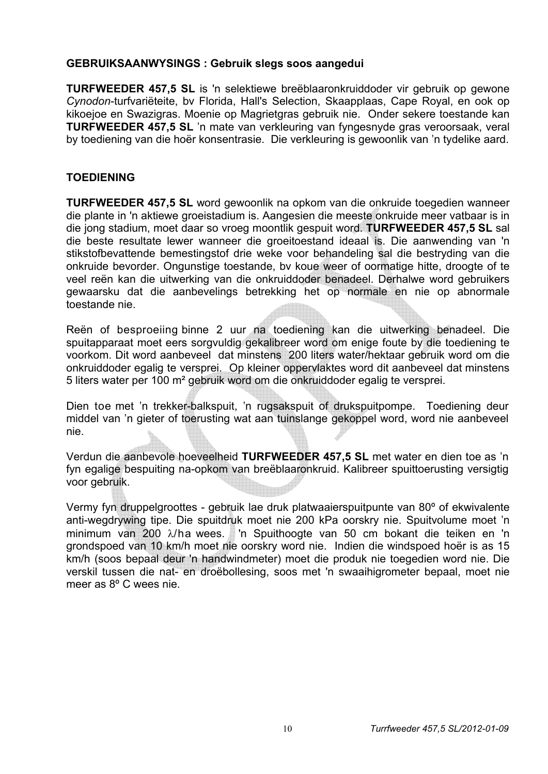# **GEBRUIKSAANWYSINGS : Gebruik slegs soos aangedui**

**TURFWEEDER 457,5 SL** is 'n selektiewe breëblaaronkruiddoder vir gebruik op gewone *Cynodon*-turfvariëteite, bv Florida, Hall's Selection, Skaapplaas, Cape Royal, en ook op kikoejoe en Swazigras. Moenie op Magrietgras gebruik nie. Onder sekere toestande kan **TURFWEEDER 457,5 SL** 'n mate van verkleuring van fyngesnyde gras veroorsaak, veral by toediening van die hoër konsentrasie. Die verkleuring is gewoonlik van 'n tydelike aard.

# **TOEDIENING**

**TURFWEEDER 457,5 SL** word gewoonlik na opkom van die onkruide toegedien wanneer die plante in 'n aktiewe groeistadium is. Aangesien die meeste onkruide meer vatbaar is in die jong stadium, moet daar so vroeg moontlik gespuit word. **TURFWEEDER 457,5 SL** sal die beste resultate lewer wanneer die groeitoestand ideaal is. Die aanwending van 'n stikstofbevattende bemestingstof drie weke voor behandeling sal die bestryding van die onkruide bevorder. Ongunstige toestande, bv koue weer of oormatige hitte, droogte of te veel reën kan die uitwerking van die onkruiddoder benadeel. Derhalwe word gebruikers gewaarsku dat die aanbevelings betrekking het op normale en nie op abnormale toestande nie.

Reën of besproeiing binne 2 uur na toediening kan die uitwerking benadeel. Die spuitapparaat moet eers sorgvuldig gekalibreer word om enige foute by die toediening te voorkom. Dit word aanbeveel dat minstens 200 liters water/hektaar gebruik word om die onkruiddoder egalig te versprei. Op kleiner oppervlaktes word dit aanbeveel dat minstens 5 liters water per 100 m² gebruik word om die onkruiddoder egalig te versprei.

Dien toe met 'n trekker-balkspuit, 'n rugsakspuit of drukspuitpompe. Toediening deur middel van 'n gieter of toerusting wat aan tuinslange gekoppel word, word nie aanbeveel nie.

Verdun die aanbevole hoeveelheid **TURFWEEDER 457,5 SL** met water en dien toe as 'n fyn egalige bespuiting na-opkom van breëblaaronkruid. Kalibreer spuittoerusting versigtig voor gebruik.

Vermy fyn druppelgroottes - gebruik lae druk platwaaierspuitpunte van 80º of ekwivalente anti-wegdrywing tipe. Die spuitdruk moet nie 200 kPa oorskry nie. Spuitvolume moet 'n minimum van 200  $\lambda$ /ha wees. 'n Spuithoogte van 50 cm bokant die teiken en 'n grondspoed van 10 km/h moet nie oorskry word nie. Indien die windspoed hoër is as 15 km/h (soos bepaal deur 'n handwindmeter) moet die produk nie toegedien word nie. Die verskil tussen die nat- en droëbollesing, soos met 'n swaaihigrometer bepaal, moet nie meer as 8º C wees nie.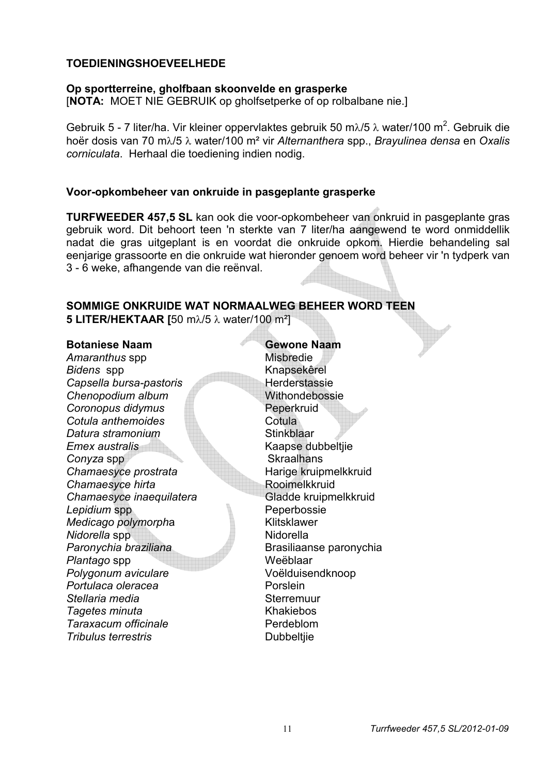# **TOEDIENINGSHOEVEELHEDE**

#### **Op sportterreine, gholfbaan skoonvelde en grasperke**

[**NOTA:** MOET NIE GEBRUIK op gholfsetperke of op rolbalbane nie.]

Gebruik 5 - 7 liter/ha. Vir kleiner oppervlaktes gebruik 50 m $\lambda$ /5  $\lambda$  water/100 m<sup>2</sup>. Gebruik die hoër dosis van 70 m/5 water/100 m² vir *Alternanthera* spp., *Brayulinea densa* en *Oxalis corniculata*. Herhaal die toediening indien nodig.

#### **Voor-opkombeheer van onkruide in pasgeplante grasperke**

**TURFWEEDER 457,5 SL** kan ook die voor-opkombeheer van onkruid in pasgeplante gras gebruik word. Dit behoort teen 'n sterkte van 7 liter/ha aangewend te word onmiddellik nadat die gras uitgeplant is en voordat die onkruide opkom. Hierdie behandeling sal eenjarige grassoorte en die onkruide wat hieronder genoem word beheer vir 'n tydperk van 3 - 6 weke, afhangende van die reënval.

#### **SOMMIGE ONKRUIDE WAT NORMAALWEG BEHEER WORD TEEN 5 LITER/HEKTAAR [50 mλ/5 λ water/100 m<sup>2</sup>]**

#### **Botaniese Naam Gewone Naam**

Amaranthus spp **Misbredie** *Bidens* spp Knapsekêrel **Capsella bursa-pastoris Herderstassie Chenopodium album** Withondebossie **Coronopus didymus Peperkruid Cotula anthemoides** Cotula **Datura stramonium** Stinkblaar *Emex australis* Emex and *Emex* and *Emex* and *Emex* and *Emex* and *Emex* and *Emex* and *Emex* and *Emex* and *Emex* and *Emex* and *Emex* and *Emex* and *Emex* and *Emex* and *Emex* and *Emex* and *Emex* and *Emex* **Conyza spp** Skraalhans **Chamaesyce prostrata** Harige kruipmelkkruid **Chamaesyce hirta** Rooimelkkruid *Chamaesyce inaequilatera* Gladde kruipmelkkruid **Lepidium spp Contract Contract Peperbossie** *Medicago polymorph*a Klitsklawer *Nidorella* spp Nidorella *Paronychia braziliana* Brasiliaanse paronychia Plantago spp Weëblaar *Polygonum aviculare* Voëlduisendknoop **Portulaca oleracea** Porslein **Stellaria media** Sterremuur *Tagetes minuta* Khakiebos **Taraxacum officinale Perdeblom Tribulus terrestris Dubbeltjie**